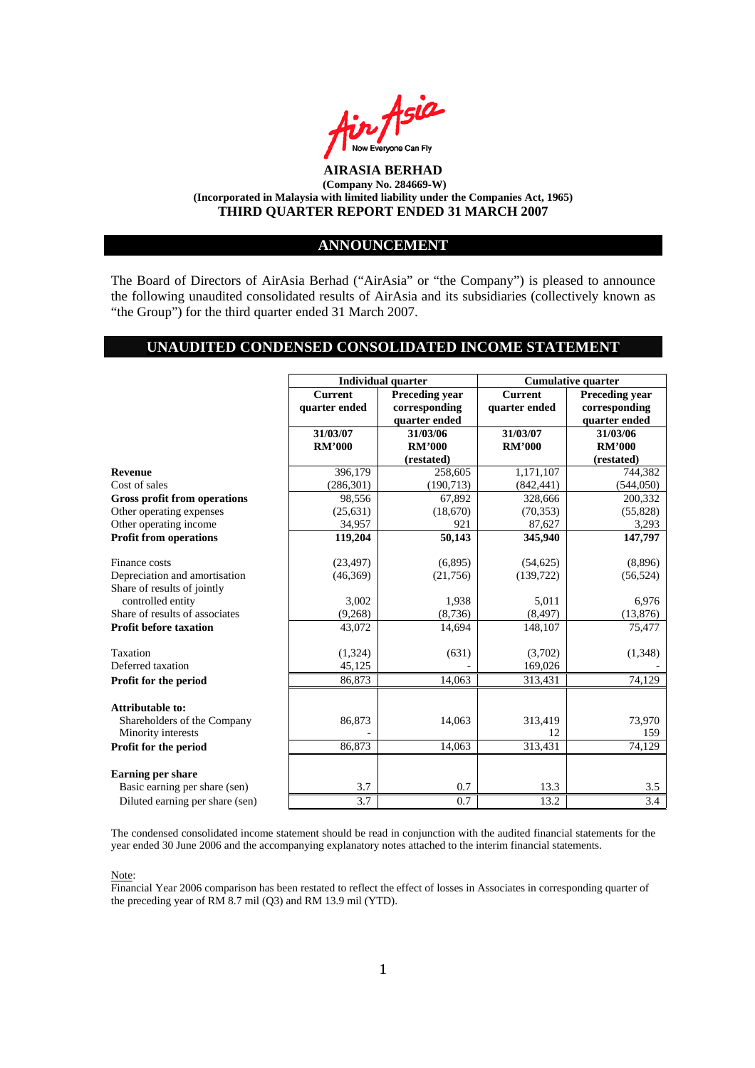

#### **ANNOUNCEMENT**

The Board of Directors of AirAsia Berhad ("AirAsia" or "the Company") is pleased to announce the following unaudited consolidated results of AirAsia and its subsidiaries (collectively known as "the Group") for the third quarter ended 31 March 2007.

#### **UNAUDITED CONDENSED CONSOLIDATED INCOME STATEMENT**

| <b>Current</b><br><b>Preceding vear</b><br><b>Preceding year</b><br><b>Current</b><br>quarter ended<br>corresponding<br>quarter ended<br>corresponding<br>quarter ended<br>quarter ended<br>31/03/07<br>31/03/07<br>31/03/06<br>31/03/06<br><b>RM'000</b><br><b>RM'000</b><br><b>RM'000</b><br><b>RM'000</b><br>(restated)<br>(restated)<br>396,179<br>1,171,107<br>258,605<br>744,382<br><b>Revenue</b><br>Cost of sales<br>(286, 301)<br>(190, 713)<br>(842, 441)<br>(544, 050)<br>Gross profit from operations<br>98,556<br>67,892<br>328,666<br>200,332<br>Other operating expenses<br>(25, 631)<br>(18,670)<br>(70, 353)<br>(55,828)<br>Other operating income<br>34,957<br>921<br>87,627<br>3,293<br><b>Profit from operations</b><br>119,204<br>50,143<br>147,797<br>345,940<br>Finance costs<br>(6,895)<br>(54, 625)<br>(8,896)<br>(23, 497)<br>Depreciation and amortisation<br>(46,369)<br>(21,756)<br>(139, 722)<br>(56, 524)<br>Share of results of jointly<br>controlled entity<br>3,002<br>5,011<br>1,938<br>6,976<br>Share of results of associates<br>(8, 736)<br>(8, 497)<br>(13, 876)<br>(9,268)<br><b>Profit before taxation</b><br>43,072<br>14,694<br>148,107<br>75,477<br>Taxation<br>(1, 324)<br>(631)<br>(3,702)<br>(1,348)<br>Deferred taxation<br>45,125<br>169,026<br>Profit for the period<br>86,873<br>14,063<br>313,431<br>74,129<br><b>Attributable to:</b><br>Shareholders of the Company<br>86,873<br>14,063<br>313,419<br>73,970<br>Minority interests<br>12<br>159<br>Profit for the period<br>86,873<br>14,063<br>313,431<br>74,129<br><b>Earning per share</b><br>0.7<br>Basic earning per share (sen)<br>3.7<br>13.3<br>3.5 |                                 |     | <b>Individual quarter</b> |      | <b>Cumulative quarter</b> |
|-------------------------------------------------------------------------------------------------------------------------------------------------------------------------------------------------------------------------------------------------------------------------------------------------------------------------------------------------------------------------------------------------------------------------------------------------------------------------------------------------------------------------------------------------------------------------------------------------------------------------------------------------------------------------------------------------------------------------------------------------------------------------------------------------------------------------------------------------------------------------------------------------------------------------------------------------------------------------------------------------------------------------------------------------------------------------------------------------------------------------------------------------------------------------------------------------------------------------------------------------------------------------------------------------------------------------------------------------------------------------------------------------------------------------------------------------------------------------------------------------------------------------------------------------------------------------------------------------------------------------------------------------------------------|---------------------------------|-----|---------------------------|------|---------------------------|
|                                                                                                                                                                                                                                                                                                                                                                                                                                                                                                                                                                                                                                                                                                                                                                                                                                                                                                                                                                                                                                                                                                                                                                                                                                                                                                                                                                                                                                                                                                                                                                                                                                                                   |                                 |     |                           |      |                           |
|                                                                                                                                                                                                                                                                                                                                                                                                                                                                                                                                                                                                                                                                                                                                                                                                                                                                                                                                                                                                                                                                                                                                                                                                                                                                                                                                                                                                                                                                                                                                                                                                                                                                   |                                 |     |                           |      |                           |
|                                                                                                                                                                                                                                                                                                                                                                                                                                                                                                                                                                                                                                                                                                                                                                                                                                                                                                                                                                                                                                                                                                                                                                                                                                                                                                                                                                                                                                                                                                                                                                                                                                                                   |                                 |     |                           |      |                           |
|                                                                                                                                                                                                                                                                                                                                                                                                                                                                                                                                                                                                                                                                                                                                                                                                                                                                                                                                                                                                                                                                                                                                                                                                                                                                                                                                                                                                                                                                                                                                                                                                                                                                   |                                 |     |                           |      |                           |
|                                                                                                                                                                                                                                                                                                                                                                                                                                                                                                                                                                                                                                                                                                                                                                                                                                                                                                                                                                                                                                                                                                                                                                                                                                                                                                                                                                                                                                                                                                                                                                                                                                                                   |                                 |     |                           |      |                           |
|                                                                                                                                                                                                                                                                                                                                                                                                                                                                                                                                                                                                                                                                                                                                                                                                                                                                                                                                                                                                                                                                                                                                                                                                                                                                                                                                                                                                                                                                                                                                                                                                                                                                   |                                 |     |                           |      |                           |
|                                                                                                                                                                                                                                                                                                                                                                                                                                                                                                                                                                                                                                                                                                                                                                                                                                                                                                                                                                                                                                                                                                                                                                                                                                                                                                                                                                                                                                                                                                                                                                                                                                                                   |                                 |     |                           |      |                           |
|                                                                                                                                                                                                                                                                                                                                                                                                                                                                                                                                                                                                                                                                                                                                                                                                                                                                                                                                                                                                                                                                                                                                                                                                                                                                                                                                                                                                                                                                                                                                                                                                                                                                   |                                 |     |                           |      |                           |
|                                                                                                                                                                                                                                                                                                                                                                                                                                                                                                                                                                                                                                                                                                                                                                                                                                                                                                                                                                                                                                                                                                                                                                                                                                                                                                                                                                                                                                                                                                                                                                                                                                                                   |                                 |     |                           |      |                           |
|                                                                                                                                                                                                                                                                                                                                                                                                                                                                                                                                                                                                                                                                                                                                                                                                                                                                                                                                                                                                                                                                                                                                                                                                                                                                                                                                                                                                                                                                                                                                                                                                                                                                   |                                 |     |                           |      |                           |
|                                                                                                                                                                                                                                                                                                                                                                                                                                                                                                                                                                                                                                                                                                                                                                                                                                                                                                                                                                                                                                                                                                                                                                                                                                                                                                                                                                                                                                                                                                                                                                                                                                                                   |                                 |     |                           |      |                           |
|                                                                                                                                                                                                                                                                                                                                                                                                                                                                                                                                                                                                                                                                                                                                                                                                                                                                                                                                                                                                                                                                                                                                                                                                                                                                                                                                                                                                                                                                                                                                                                                                                                                                   |                                 |     |                           |      |                           |
|                                                                                                                                                                                                                                                                                                                                                                                                                                                                                                                                                                                                                                                                                                                                                                                                                                                                                                                                                                                                                                                                                                                                                                                                                                                                                                                                                                                                                                                                                                                                                                                                                                                                   |                                 |     |                           |      |                           |
|                                                                                                                                                                                                                                                                                                                                                                                                                                                                                                                                                                                                                                                                                                                                                                                                                                                                                                                                                                                                                                                                                                                                                                                                                                                                                                                                                                                                                                                                                                                                                                                                                                                                   |                                 |     |                           |      |                           |
|                                                                                                                                                                                                                                                                                                                                                                                                                                                                                                                                                                                                                                                                                                                                                                                                                                                                                                                                                                                                                                                                                                                                                                                                                                                                                                                                                                                                                                                                                                                                                                                                                                                                   |                                 |     |                           |      |                           |
|                                                                                                                                                                                                                                                                                                                                                                                                                                                                                                                                                                                                                                                                                                                                                                                                                                                                                                                                                                                                                                                                                                                                                                                                                                                                                                                                                                                                                                                                                                                                                                                                                                                                   |                                 |     |                           |      |                           |
|                                                                                                                                                                                                                                                                                                                                                                                                                                                                                                                                                                                                                                                                                                                                                                                                                                                                                                                                                                                                                                                                                                                                                                                                                                                                                                                                                                                                                                                                                                                                                                                                                                                                   |                                 |     |                           |      |                           |
|                                                                                                                                                                                                                                                                                                                                                                                                                                                                                                                                                                                                                                                                                                                                                                                                                                                                                                                                                                                                                                                                                                                                                                                                                                                                                                                                                                                                                                                                                                                                                                                                                                                                   |                                 |     |                           |      |                           |
|                                                                                                                                                                                                                                                                                                                                                                                                                                                                                                                                                                                                                                                                                                                                                                                                                                                                                                                                                                                                                                                                                                                                                                                                                                                                                                                                                                                                                                                                                                                                                                                                                                                                   |                                 |     |                           |      |                           |
|                                                                                                                                                                                                                                                                                                                                                                                                                                                                                                                                                                                                                                                                                                                                                                                                                                                                                                                                                                                                                                                                                                                                                                                                                                                                                                                                                                                                                                                                                                                                                                                                                                                                   |                                 |     |                           |      |                           |
|                                                                                                                                                                                                                                                                                                                                                                                                                                                                                                                                                                                                                                                                                                                                                                                                                                                                                                                                                                                                                                                                                                                                                                                                                                                                                                                                                                                                                                                                                                                                                                                                                                                                   |                                 |     |                           |      |                           |
|                                                                                                                                                                                                                                                                                                                                                                                                                                                                                                                                                                                                                                                                                                                                                                                                                                                                                                                                                                                                                                                                                                                                                                                                                                                                                                                                                                                                                                                                                                                                                                                                                                                                   |                                 |     |                           |      |                           |
|                                                                                                                                                                                                                                                                                                                                                                                                                                                                                                                                                                                                                                                                                                                                                                                                                                                                                                                                                                                                                                                                                                                                                                                                                                                                                                                                                                                                                                                                                                                                                                                                                                                                   |                                 |     |                           |      |                           |
|                                                                                                                                                                                                                                                                                                                                                                                                                                                                                                                                                                                                                                                                                                                                                                                                                                                                                                                                                                                                                                                                                                                                                                                                                                                                                                                                                                                                                                                                                                                                                                                                                                                                   |                                 |     |                           |      |                           |
|                                                                                                                                                                                                                                                                                                                                                                                                                                                                                                                                                                                                                                                                                                                                                                                                                                                                                                                                                                                                                                                                                                                                                                                                                                                                                                                                                                                                                                                                                                                                                                                                                                                                   |                                 |     |                           |      |                           |
|                                                                                                                                                                                                                                                                                                                                                                                                                                                                                                                                                                                                                                                                                                                                                                                                                                                                                                                                                                                                                                                                                                                                                                                                                                                                                                                                                                                                                                                                                                                                                                                                                                                                   |                                 |     |                           |      |                           |
|                                                                                                                                                                                                                                                                                                                                                                                                                                                                                                                                                                                                                                                                                                                                                                                                                                                                                                                                                                                                                                                                                                                                                                                                                                                                                                                                                                                                                                                                                                                                                                                                                                                                   |                                 |     |                           |      |                           |
|                                                                                                                                                                                                                                                                                                                                                                                                                                                                                                                                                                                                                                                                                                                                                                                                                                                                                                                                                                                                                                                                                                                                                                                                                                                                                                                                                                                                                                                                                                                                                                                                                                                                   |                                 |     |                           |      |                           |
|                                                                                                                                                                                                                                                                                                                                                                                                                                                                                                                                                                                                                                                                                                                                                                                                                                                                                                                                                                                                                                                                                                                                                                                                                                                                                                                                                                                                                                                                                                                                                                                                                                                                   |                                 |     |                           |      |                           |
|                                                                                                                                                                                                                                                                                                                                                                                                                                                                                                                                                                                                                                                                                                                                                                                                                                                                                                                                                                                                                                                                                                                                                                                                                                                                                                                                                                                                                                                                                                                                                                                                                                                                   |                                 |     |                           |      |                           |
|                                                                                                                                                                                                                                                                                                                                                                                                                                                                                                                                                                                                                                                                                                                                                                                                                                                                                                                                                                                                                                                                                                                                                                                                                                                                                                                                                                                                                                                                                                                                                                                                                                                                   |                                 |     |                           |      |                           |
|                                                                                                                                                                                                                                                                                                                                                                                                                                                                                                                                                                                                                                                                                                                                                                                                                                                                                                                                                                                                                                                                                                                                                                                                                                                                                                                                                                                                                                                                                                                                                                                                                                                                   | Diluted earning per share (sen) | 3.7 | 0.7                       | 13.2 | 3.4                       |

The condensed consolidated income statement should be read in conjunction with the audited financial statements for the year ended 30 June 2006 and the accompanying explanatory notes attached to the interim financial statements.

Note:

Financial Year 2006 comparison has been restated to reflect the effect of losses in Associates in corresponding quarter of the preceding year of RM 8.7 mil (Q3) and RM 13.9 mil (YTD).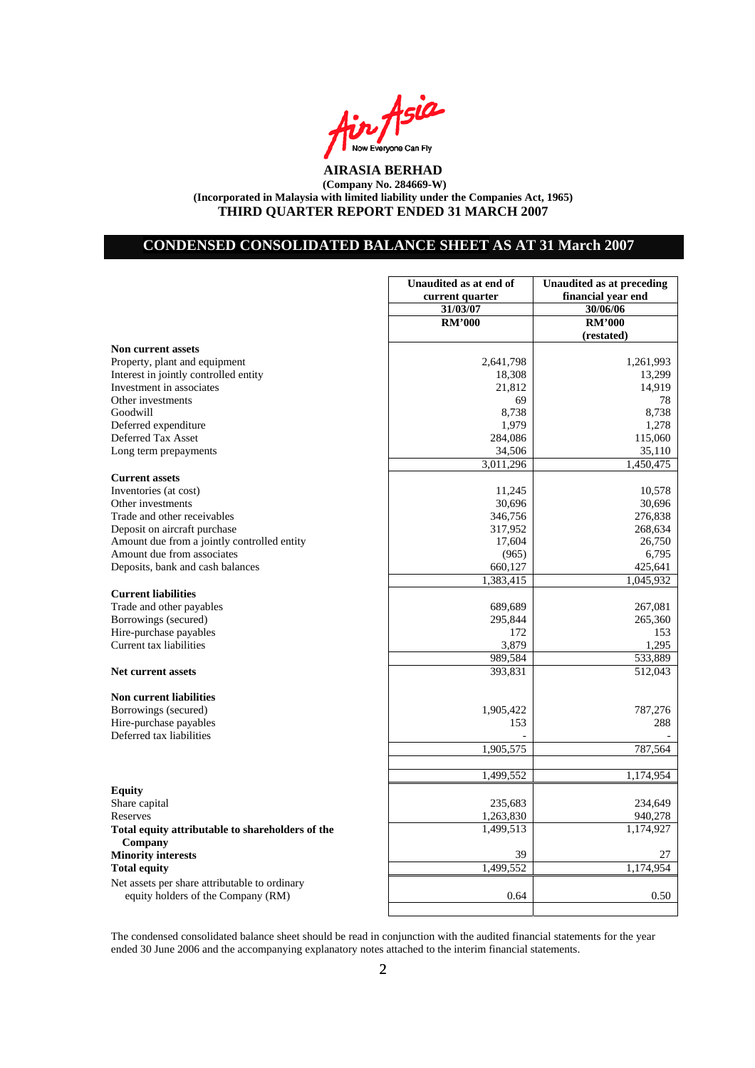

# **CONDENSED CONSOLIDATED BALANCE SHEET AS AT 31 March 2007**

|                                                  | Unaudited as at end of | Unaudited as at preceding |
|--------------------------------------------------|------------------------|---------------------------|
|                                                  | current quarter        | financial year end        |
|                                                  | 31/03/07               | 30/06/06                  |
|                                                  | <b>RM'000</b>          | <b>RM'000</b>             |
|                                                  |                        | (restated)                |
| <b>Non current assets</b>                        |                        |                           |
| Property, plant and equipment                    | 2,641,798              | 1,261,993                 |
| Interest in jointly controlled entity            | 18,308                 | 13,299                    |
| Investment in associates                         | 21,812                 | 14,919                    |
| Other investments                                | 69                     | 78                        |
| Goodwill                                         | 8,738                  | 8,738                     |
| Deferred expenditure                             | 1,979                  | 1,278                     |
| Deferred Tax Asset                               | 284,086                | 115,060                   |
| Long term prepayments                            | 34,506                 | 35,110                    |
|                                                  | 3,011,296              | 1,450,475                 |
| <b>Current assets</b>                            |                        |                           |
| Inventories (at cost)                            | 11,245                 | 10,578                    |
| Other investments                                | 30,696                 | 30,696                    |
| Trade and other receivables                      | 346,756                | 276,838                   |
| Deposit on aircraft purchase                     | 317,952                | 268,634                   |
| Amount due from a jointly controlled entity      | 17,604                 | 26,750                    |
| Amount due from associates                       | (965)                  | 6,795                     |
| Deposits, bank and cash balances                 | 660,127                | 425,641                   |
|                                                  | 1,383,415              | 1,045,932                 |
| <b>Current liabilities</b>                       |                        |                           |
| Trade and other payables                         | 689,689                | 267,081                   |
| Borrowings (secured)                             | 295,844                | 265,360                   |
| Hire-purchase payables                           | 172                    | 153                       |
| Current tax liabilities                          | 3,879                  | 1,295                     |
|                                                  | 989,584                | 533,889                   |
| <b>Net current assets</b>                        | 393,831                | 512,043                   |
|                                                  |                        |                           |
| <b>Non current liabilities</b>                   |                        |                           |
| Borrowings (secured)                             | 1,905,422              | 787,276                   |
| Hire-purchase payables                           | 153                    | 288                       |
| Deferred tax liabilities                         |                        |                           |
|                                                  | 1,905,575              | 787,564                   |
|                                                  |                        |                           |
|                                                  | 1,499,552              | $\overline{1,174,954}$    |
|                                                  |                        |                           |
| <b>Equity</b>                                    |                        |                           |
| Share capital<br>Reserves                        | 235,683                | 234,649                   |
|                                                  | 1,263,830              | 940,278                   |
| Total equity attributable to shareholders of the | 1,499,513              | 1,174,927                 |
| Company                                          |                        |                           |
| <b>Minority interests</b>                        | 39                     | 27                        |
| <b>Total equity</b>                              | 1,499,552              | 1,174,954                 |
| Net assets per share attributable to ordinary    |                        |                           |
| equity holders of the Company (RM)               | 0.64                   | 0.50                      |

The condensed consolidated balance sheet should be read in conjunction with the audited financial statements for the year ended 30 June 2006 and the accompanying explanatory notes attached to the interim financial statements.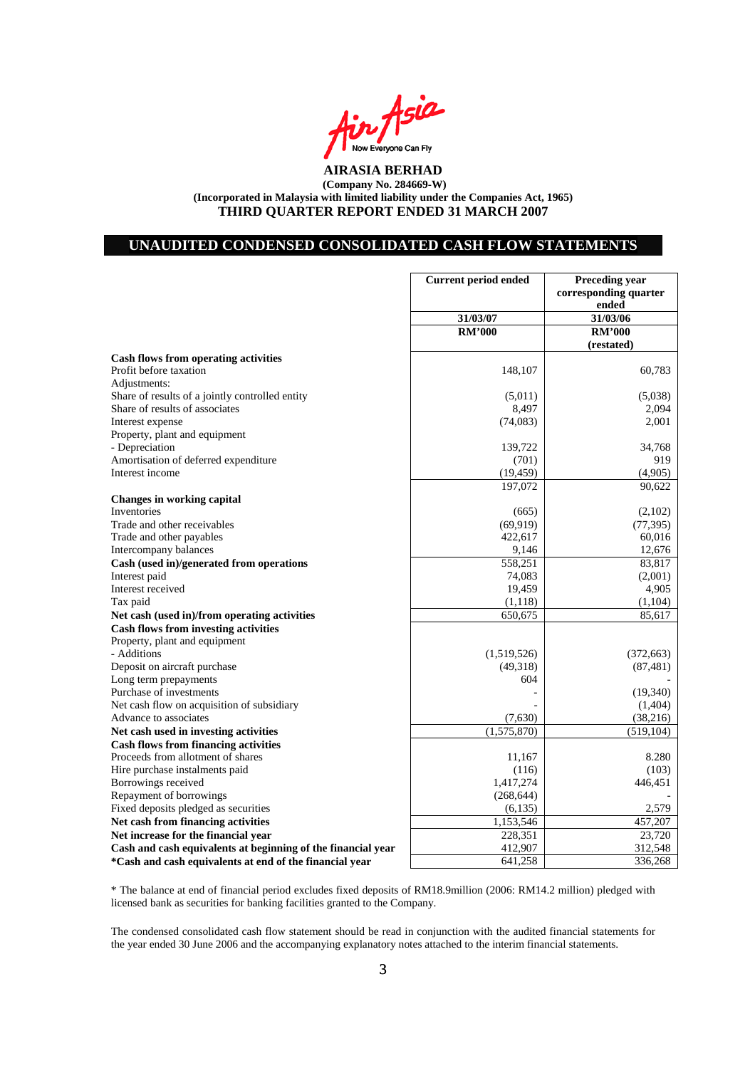

## **UNAUDITED CONDENSED CONSOLIDATED CASH FLOW STATEMENTS**

|                                                              | <b>Current period ended</b> | <b>Preceding year</b> |
|--------------------------------------------------------------|-----------------------------|-----------------------|
|                                                              |                             | corresponding quarter |
|                                                              |                             | ended                 |
|                                                              | 31/03/07                    | 31/03/06              |
|                                                              | <b>RM'000</b>               | <b>RM'000</b>         |
|                                                              |                             | (restated)            |
| <b>Cash flows from operating activities</b>                  |                             |                       |
| Profit before taxation                                       | 148,107                     | 60,783                |
| Adjustments:                                                 |                             |                       |
| Share of results of a jointly controlled entity              | (5,011)                     | (5,038)               |
| Share of results of associates                               | 8,497                       | 2,094                 |
| Interest expense                                             | (74,083)                    | 2,001                 |
| Property, plant and equipment                                |                             |                       |
| - Depreciation                                               | 139,722                     | 34,768                |
| Amortisation of deferred expenditure                         | (701)                       | 919                   |
| Interest income                                              | (19, 459)                   | (4,905)               |
|                                                              | 197,072                     | 90,622                |
| <b>Changes in working capital</b>                            |                             |                       |
| Inventories                                                  | (665)                       | (2,102)               |
| Trade and other receivables                                  | (69, 919)                   | (77, 395)             |
| Trade and other payables                                     | 422,617                     | 60,016                |
|                                                              |                             | 12,676                |
| Intercompany balances                                        | 9,146                       |                       |
| Cash (used in)/generated from operations                     | 558,251                     | 83,817                |
| Interest paid                                                | 74,083                      | (2,001)               |
| Interest received                                            | 19,459                      | 4,905                 |
| Tax paid                                                     | (1,118)                     | (1,104)               |
| Net cash (used in)/from operating activities                 | 650,675                     | 85,617                |
| <b>Cash flows from investing activities</b>                  |                             |                       |
| Property, plant and equipment                                |                             |                       |
| - Additions                                                  | (1,519,526)                 | (372, 663)            |
| Deposit on aircraft purchase                                 | (49,318)                    | (87, 481)             |
| Long term prepayments                                        | 604                         |                       |
| Purchase of investments                                      |                             | (19,340)              |
| Net cash flow on acquisition of subsidiary                   |                             | (1,404)               |
| Advance to associates                                        | (7,630)                     | (38, 216)             |
| Net cash used in investing activities                        | (1,575,870)                 | (519, 104)            |
| <b>Cash flows from financing activities</b>                  |                             |                       |
| Proceeds from allotment of shares                            | 11,167                      | 8.280                 |
| Hire purchase instalments paid                               | (116)                       | (103)                 |
| Borrowings received                                          | 1,417,274                   | 446,451               |
| Repayment of borrowings                                      | (268, 644)                  |                       |
| Fixed deposits pledged as securities                         | (6,135)                     | 2,579                 |
| Net cash from financing activities                           | 1,153,546                   | 457,207               |
| Net increase for the financial year                          | 228,351                     | 23,720                |
| Cash and cash equivalents at beginning of the financial year | 412,907                     | 312,548               |
| *Cash and cash equivalents at end of the financial year      | 641,258                     | 336,268               |
|                                                              |                             |                       |

\* The balance at end of financial period excludes fixed deposits of RM18.9million (2006: RM14.2 million) pledged with licensed bank as securities for banking facilities granted to the Company.

The condensed consolidated cash flow statement should be read in conjunction with the audited financial statements for the year ended 30 June 2006 and the accompanying explanatory notes attached to the interim financial statements.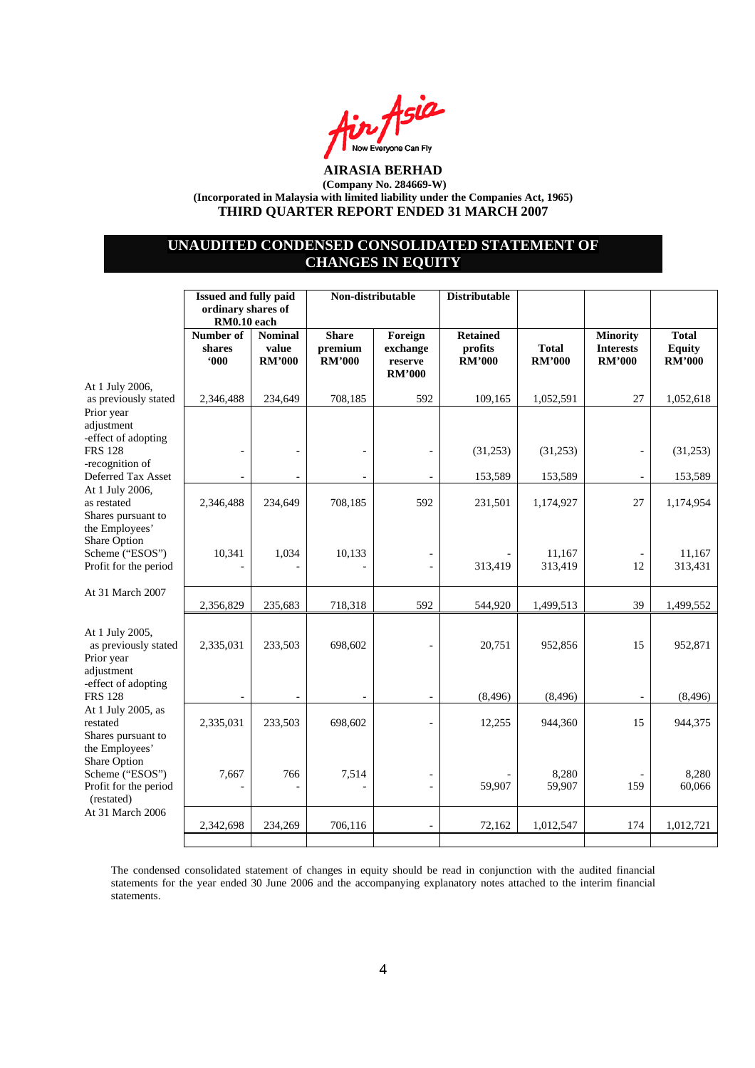

## **UNAUDITED CONDENSED CONSOLIDATED STATEMENT OF CHANGES IN EQUITY**

|                                                                                                                                                  |                            | <b>Issued and fully paid</b><br>ordinary shares of<br>RM0.10 each |                                          | Non-distributable<br><b>Distributable</b>       |                                             |                               |                                                      |                                                |
|--------------------------------------------------------------------------------------------------------------------------------------------------|----------------------------|-------------------------------------------------------------------|------------------------------------------|-------------------------------------------------|---------------------------------------------|-------------------------------|------------------------------------------------------|------------------------------------------------|
|                                                                                                                                                  | Number of<br>shares<br>600 | <b>Nominal</b><br>value<br><b>RM'000</b>                          | <b>Share</b><br>premium<br><b>RM'000</b> | Foreign<br>exchange<br>reserve<br><b>RM'000</b> | <b>Retained</b><br>profits<br><b>RM'000</b> | <b>Total</b><br><b>RM'000</b> | <b>Minority</b><br><b>Interests</b><br><b>RM'000</b> | <b>Total</b><br><b>Equity</b><br><b>RM'000</b> |
| At 1 July 2006,<br>as previously stated                                                                                                          | 2,346,488                  | 234,649                                                           | 708,185                                  | 592                                             | 109,165                                     | 1,052,591                     | 27                                                   | 1,052,618                                      |
| Prior year<br>adjustment<br>-effect of adopting<br><b>FRS 128</b><br>-recognition of<br>Deferred Tax Asset                                       |                            | $\overline{a}$                                                    |                                          |                                                 | (31,253)<br>153,589                         | (31,253)<br>153,589           |                                                      | (31,253)<br>153,589                            |
| At 1 July 2006,<br>as restated<br>Shares pursuant to<br>the Employees'<br><b>Share Option</b><br>Scheme ("ESOS")<br>Profit for the period        | 2,346,488                  | 234,649                                                           | 708,185                                  | 592                                             | 231,501                                     | 1,174,927                     | 27                                                   | 1,174,954                                      |
|                                                                                                                                                  | 10,341                     | 1,034                                                             | 10,133                                   |                                                 | 313,419                                     | 11,167<br>313,419             | 12                                                   | 11,167<br>313,431                              |
| At 31 March 2007                                                                                                                                 | 2,356,829                  | 235,683                                                           | 718,318                                  | 592                                             | 544,920                                     | 1,499,513                     | 39                                                   | 1,499,552                                      |
| At 1 July 2005,<br>as previously stated<br>Prior year<br>adjustment<br>-effect of adopting                                                       | 2,335,031                  | 233,503                                                           | 698,602                                  |                                                 | 20,751                                      | 952,856                       | 15                                                   | 952,871                                        |
| <b>FRS 128</b>                                                                                                                                   |                            |                                                                   |                                          |                                                 | (8, 496)                                    | (8, 496)                      |                                                      | (8, 496)                                       |
| At 1 July 2005, as<br>restated<br>Shares pursuant to<br>the Employees'<br>Share Option<br>Scheme ("ESOS")<br>Profit for the period<br>(restated) | 2,335,031                  | 233,503                                                           | 698,602                                  |                                                 | 12,255                                      | 944,360                       | 15                                                   | 944,375                                        |
|                                                                                                                                                  | 7,667                      | 766                                                               | 7,514                                    |                                                 | 59,907                                      | 8,280<br>59,907               | 159                                                  | 8,280<br>60,066                                |
| At 31 March 2006                                                                                                                                 | 2,342,698                  | 234,269                                                           | 706,116                                  |                                                 | 72,162                                      | 1,012,547                     | 174                                                  | 1,012,721                                      |
|                                                                                                                                                  |                            |                                                                   |                                          |                                                 |                                             |                               |                                                      |                                                |

The condensed consolidated statement of changes in equity should be read in conjunction with the audited financial statements for the year ended 30 June 2006 and the accompanying explanatory notes attached to the interim financial statements.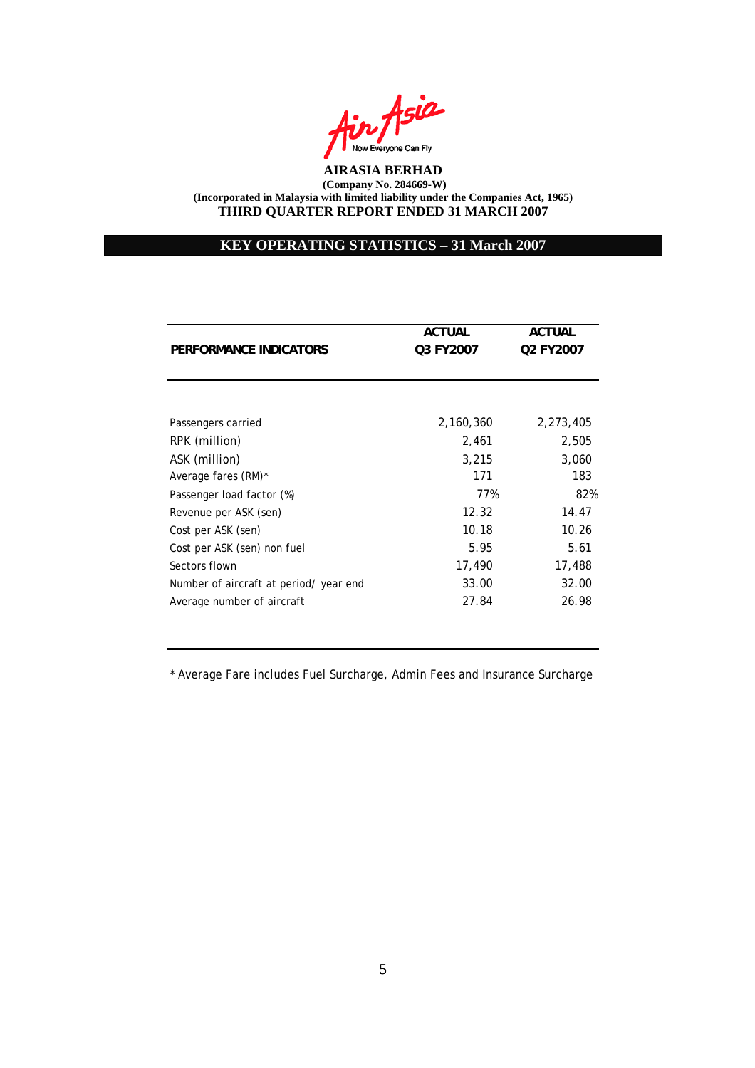

# **KEY OPERATING STATISTICS – 31 March 2007**

|                                        | <b>ACTUAL</b> | <b>ACTUAL</b> |
|----------------------------------------|---------------|---------------|
| PERFORMANCE INDICATORS                 | Q3 FY2007     | Q2 FY2007     |
|                                        |               |               |
|                                        |               |               |
| Passengers carried                     | 2,160,360     | 2,273,405     |
| RPK (million)                          | 2,461         | 2,505         |
| ASK (million)                          | 3,215         | 3,060         |
| Average fares (RM)*                    | 171           | 183           |
| Passenger load factor (%)              | 77%           | 82%           |
| Revenue per ASK (sen)                  | 12.32         | 14.47         |
| Cost per ASK (sen)                     | 10.18         | 10.26         |
| Cost per ASK (sen) non fuel            | 5.95          | 5.61          |
| Sectors flown                          | 17,490        | 17,488        |
| Number of aircraft at period/ year end | 33.00         | 32.00         |
| Average number of aircraft             | 27.84         | 26.98         |

\* Average Fare includes Fuel Surcharge, Admin Fees and Insurance Surcharge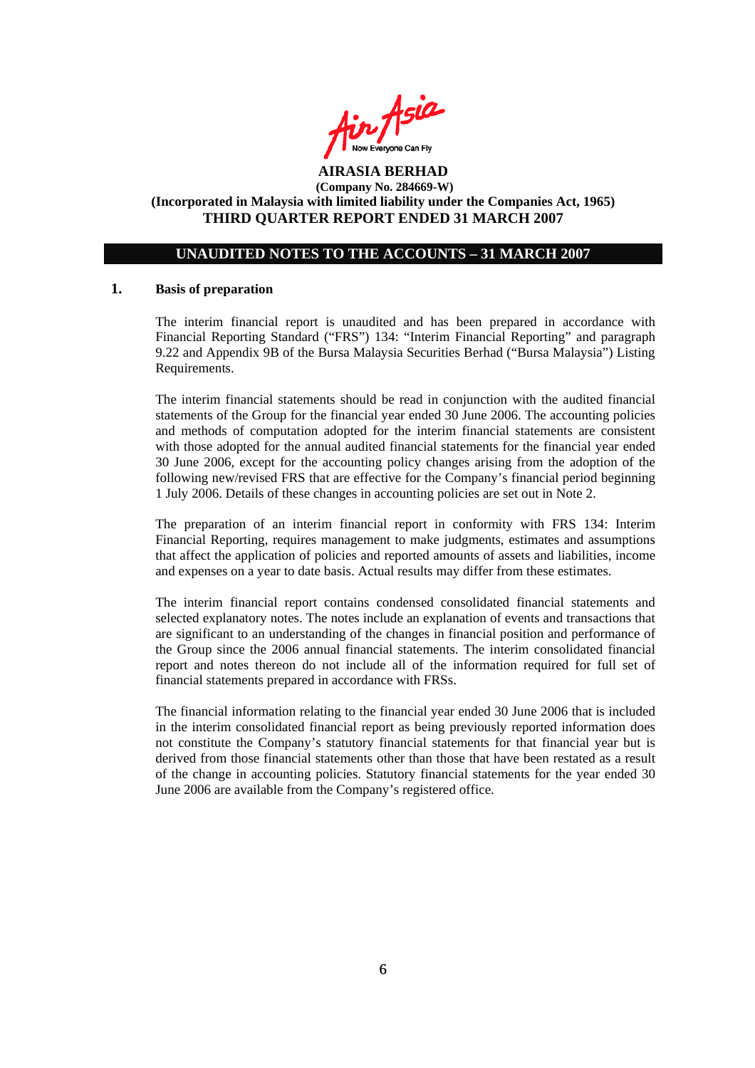

## **UNAUDITED NOTES TO THE ACCOUNTS – 31 MARCH 2007**

#### **1. Basis of preparation**

The interim financial report is unaudited and has been prepared in accordance with Financial Reporting Standard ("FRS") 134: "Interim Financial Reporting" and paragraph 9.22 and Appendix 9B of the Bursa Malaysia Securities Berhad ("Bursa Malaysia") Listing Requirements.

The interim financial statements should be read in conjunction with the audited financial statements of the Group for the financial year ended 30 June 2006. The accounting policies and methods of computation adopted for the interim financial statements are consistent with those adopted for the annual audited financial statements for the financial year ended 30 June 2006, except for the accounting policy changes arising from the adoption of the following new/revised FRS that are effective for the Company's financial period beginning 1 July 2006. Details of these changes in accounting policies are set out in Note 2.

The preparation of an interim financial report in conformity with FRS 134: Interim Financial Reporting, requires management to make judgments, estimates and assumptions that affect the application of policies and reported amounts of assets and liabilities, income and expenses on a year to date basis. Actual results may differ from these estimates.

The interim financial report contains condensed consolidated financial statements and selected explanatory notes. The notes include an explanation of events and transactions that are significant to an understanding of the changes in financial position and performance of the Group since the 2006 annual financial statements. The interim consolidated financial report and notes thereon do not include all of the information required for full set of financial statements prepared in accordance with FRSs.

The financial information relating to the financial year ended 30 June 2006 that is included in the interim consolidated financial report as being previously reported information does not constitute the Company's statutory financial statements for that financial year but is derived from those financial statements other than those that have been restated as a result of the change in accounting policies. Statutory financial statements for the year ended 30 June 2006 are available from the Company's registered office.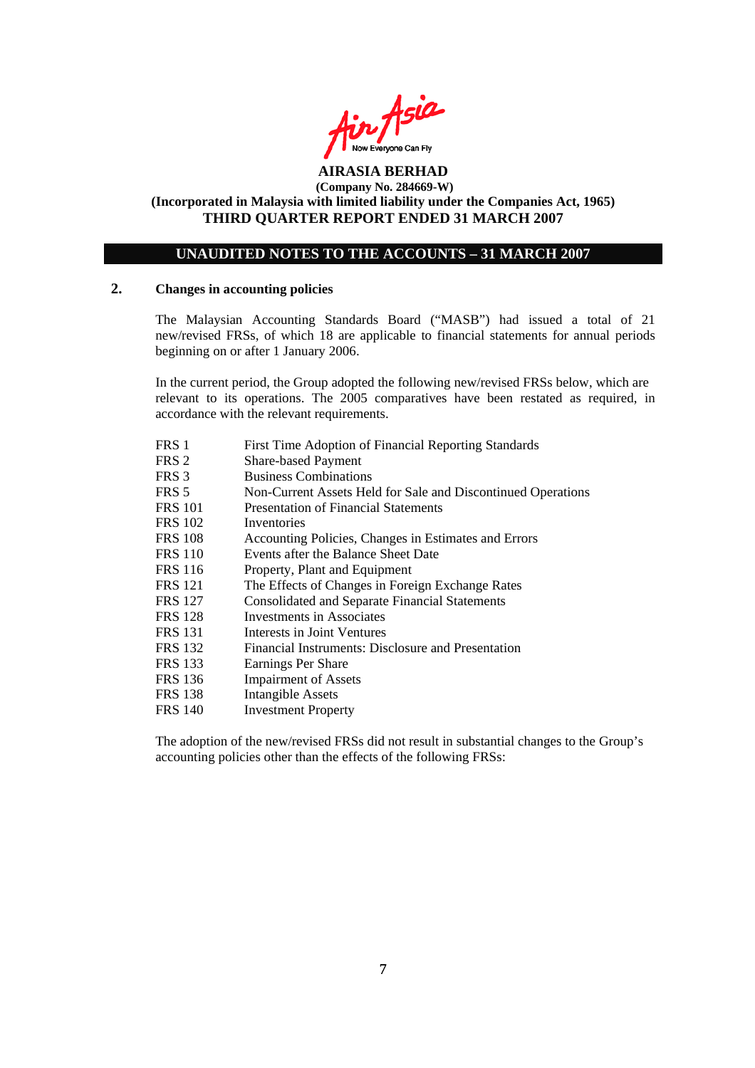

## **UNAUDITED NOTES TO THE ACCOUNTS – 31 MARCH 2007**

#### **2. Changes in accounting policies**

The Malaysian Accounting Standards Board ("MASB") had issued a total of 21 new/revised FRSs, of which 18 are applicable to financial statements for annual periods beginning on or after 1 January 2006.

In the current period, the Group adopted the following new/revised FRSs below, which are relevant to its operations. The 2005 comparatives have been restated as required, in accordance with the relevant requirements.

| FRS 1          | First Time Adoption of Financial Reporting Standards         |
|----------------|--------------------------------------------------------------|
| FRS 2          | <b>Share-based Payment</b>                                   |
| FRS 3          | <b>Business Combinations</b>                                 |
| FRS 5          | Non-Current Assets Held for Sale and Discontinued Operations |
| <b>FRS 101</b> | <b>Presentation of Financial Statements</b>                  |
| <b>FRS 102</b> | Inventories                                                  |
| <b>FRS 108</b> | Accounting Policies, Changes in Estimates and Errors         |
| <b>FRS 110</b> | Events after the Balance Sheet Date                          |
| <b>FRS</b> 116 | Property, Plant and Equipment                                |
| <b>FRS</b> 121 | The Effects of Changes in Foreign Exchange Rates             |
| <b>FRS</b> 127 | <b>Consolidated and Separate Financial Statements</b>        |
| <b>FRS</b> 128 | <b>Investments in Associates</b>                             |
| <b>FRS 131</b> | Interests in Joint Ventures                                  |
| <b>FRS</b> 132 | Financial Instruments: Disclosure and Presentation           |
| <b>FRS</b> 133 | Earnings Per Share                                           |
| <b>FRS</b> 136 | <b>Impairment of Assets</b>                                  |
| <b>FRS</b> 138 | Intangible Assets                                            |
| <b>FRS</b> 140 | <b>Investment Property</b>                                   |

The adoption of the new/revised FRSs did not result in substantial changes to the Group's accounting policies other than the effects of the following FRSs: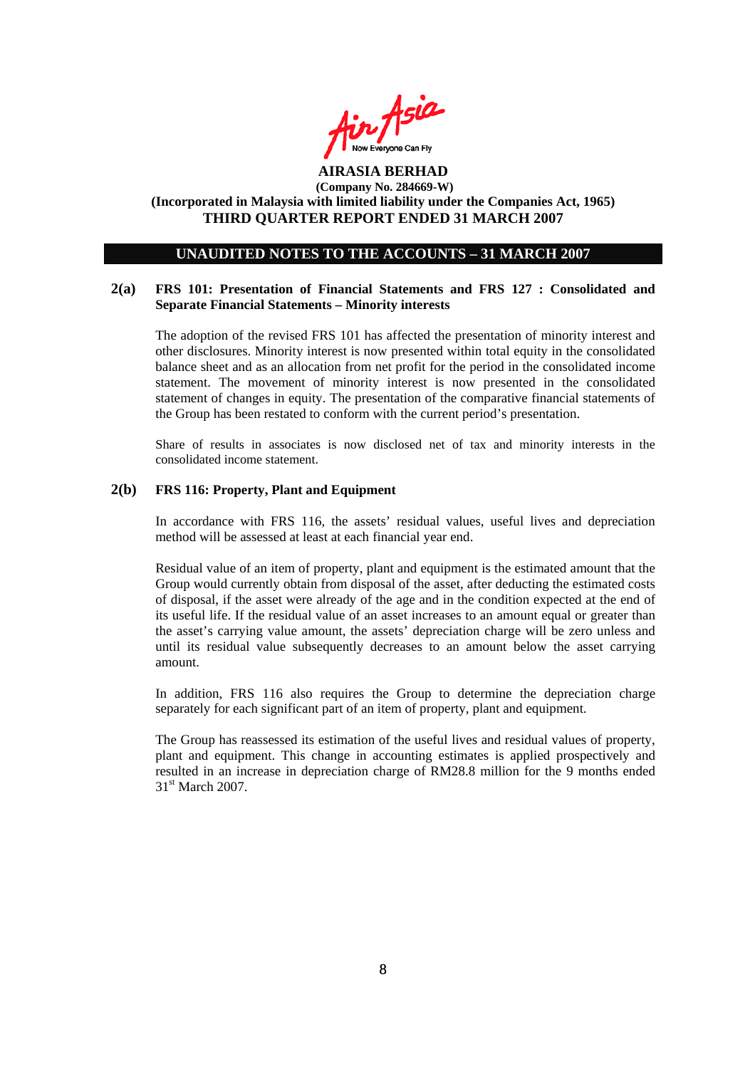

### **UNAUDITED NOTES TO THE ACCOUNTS – 31 MARCH 2007**

#### **2(a) FRS 101: Presentation of Financial Statements and FRS 127 : Consolidated and Separate Financial Statements – Minority interests**

The adoption of the revised FRS 101 has affected the presentation of minority interest and other disclosures. Minority interest is now presented within total equity in the consolidated balance sheet and as an allocation from net profit for the period in the consolidated income statement. The movement of minority interest is now presented in the consolidated statement of changes in equity. The presentation of the comparative financial statements of the Group has been restated to conform with the current period's presentation.

Share of results in associates is now disclosed net of tax and minority interests in the consolidated income statement.

#### **2(b) FRS 116: Property, Plant and Equipment**

In accordance with FRS 116, the assets' residual values, useful lives and depreciation method will be assessed at least at each financial year end.

Residual value of an item of property, plant and equipment is the estimated amount that the Group would currently obtain from disposal of the asset, after deducting the estimated costs of disposal, if the asset were already of the age and in the condition expected at the end of its useful life. If the residual value of an asset increases to an amount equal or greater than the asset's carrying value amount, the assets' depreciation charge will be zero unless and until its residual value subsequently decreases to an amount below the asset carrying amount.

In addition, FRS 116 also requires the Group to determine the depreciation charge separately for each significant part of an item of property, plant and equipment.

The Group has reassessed its estimation of the useful lives and residual values of property, plant and equipment. This change in accounting estimates is applied prospectively and resulted in an increase in depreciation charge of RM28.8 million for the 9 months ended 31<sup>st</sup> March 2007.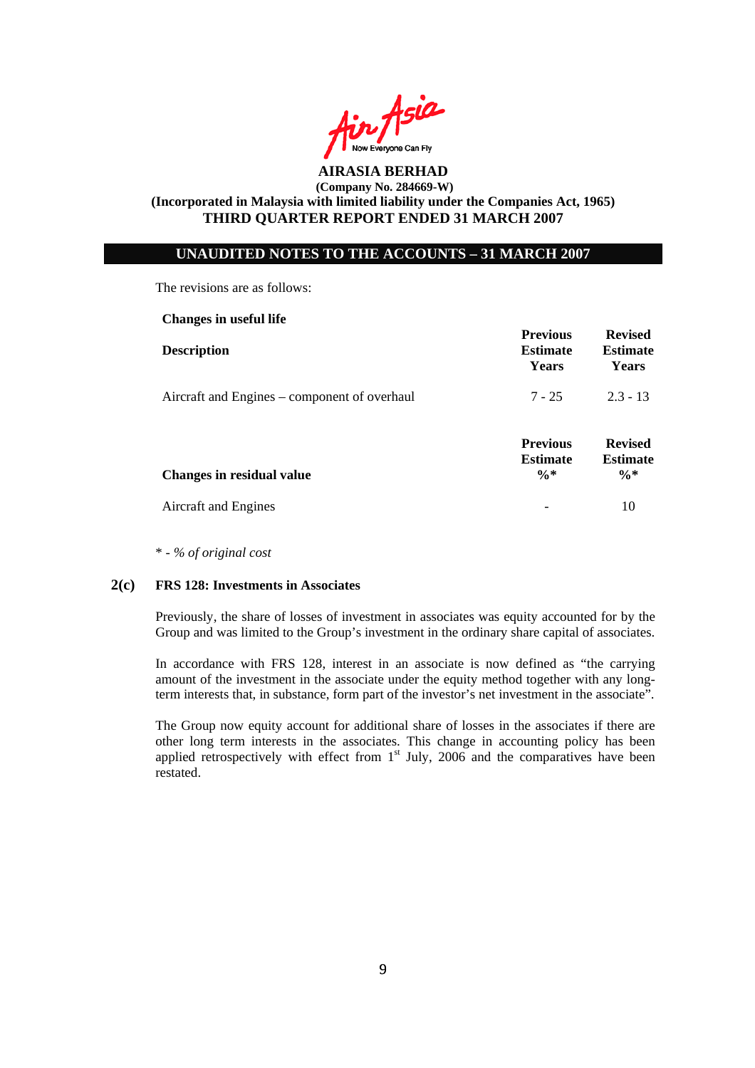

### **UNAUDITED NOTES TO THE ACCOUNTS – 31 MARCH 2007**

The revisions are as follows:

| <b>Changes in useful life</b>                |                                                       |                                                      |
|----------------------------------------------|-------------------------------------------------------|------------------------------------------------------|
| <b>Description</b>                           | <b>Previous</b><br><b>Estimate</b><br>Years           | <b>Revised</b><br><b>Estimate</b><br><b>Years</b>    |
| Aircraft and Engines – component of overhaul | $7 - 25$                                              | $2.3 - 13$                                           |
| Changes in residual value                    | <b>Previous</b><br><b>Estimate</b><br>$\frac{0}{6}$ * | <b>Revised</b><br><b>Estimate</b><br>$\frac{0}{6}$ * |
| Aircraft and Engines                         |                                                       | 10                                                   |

\* - *% of original cost* 

#### **2(c) FRS 128: Investments in Associates**

Previously, the share of losses of investment in associates was equity accounted for by the Group and was limited to the Group's investment in the ordinary share capital of associates.

In accordance with FRS 128, interest in an associate is now defined as "the carrying amount of the investment in the associate under the equity method together with any longterm interests that, in substance, form part of the investor's net investment in the associate".

The Group now equity account for additional share of losses in the associates if there are other long term interests in the associates. This change in accounting policy has been applied retrospectively with effect from  $1<sup>st</sup>$  July, 2006 and the comparatives have been restated.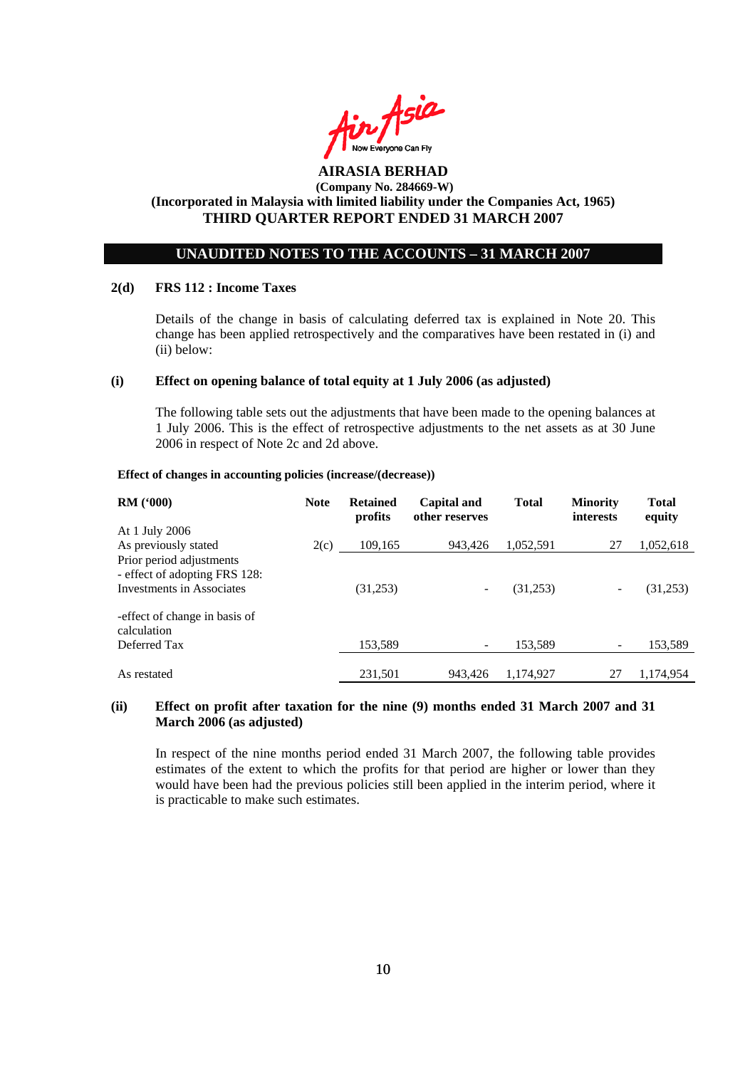

## **UNAUDITED NOTES TO THE ACCOUNTS – 31 MARCH 2007**

#### **2(d) FRS 112 : Income Taxes**

Details of the change in basis of calculating deferred tax is explained in Note 20. This change has been applied retrospectively and the comparatives have been restated in (i) and (ii) below:

#### **(i) Effect on opening balance of total equity at 1 July 2006 (as adjusted)**

The following table sets out the adjustments that have been made to the opening balances at 1 July 2006. This is the effect of retrospective adjustments to the net assets as at 30 June 2006 in respect of Note 2c and 2d above.

#### **Effect of changes in accounting policies (increase/(decrease))**

| <b>RM</b> $(900)$                                                                             | <b>Note</b> | <b>Retained</b><br>profits | Capital and<br>other reserves | <b>Total</b> | <b>Minority</b><br><i>interests</i> | <b>Total</b><br>equity |
|-----------------------------------------------------------------------------------------------|-------------|----------------------------|-------------------------------|--------------|-------------------------------------|------------------------|
| At 1 July 2006                                                                                |             |                            |                               |              |                                     |                        |
| As previously stated                                                                          | 2(c)        | 109,165                    | 943,426                       | 1,052,591    | 27                                  | 1,052,618              |
| Prior period adjustments<br>- effect of adopting FRS 128:<br><b>Investments in Associates</b> |             | (31,253)                   | -                             | (31,253)     |                                     | (31,253)               |
| -effect of change in basis of<br>calculation                                                  |             |                            |                               |              |                                     |                        |
| Deferred Tax                                                                                  |             | 153,589                    |                               | 153,589      |                                     | 153,589                |
| As restated                                                                                   |             | 231,501                    | 943.426                       | 1.174.927    | 27                                  | 1,174,954              |

#### **(ii) Effect on profit after taxation for the nine (9) months ended 31 March 2007 and 31 March 2006 (as adjusted)**

In respect of the nine months period ended 31 March 2007, the following table provides estimates of the extent to which the profits for that period are higher or lower than they would have been had the previous policies still been applied in the interim period, where it is practicable to make such estimates.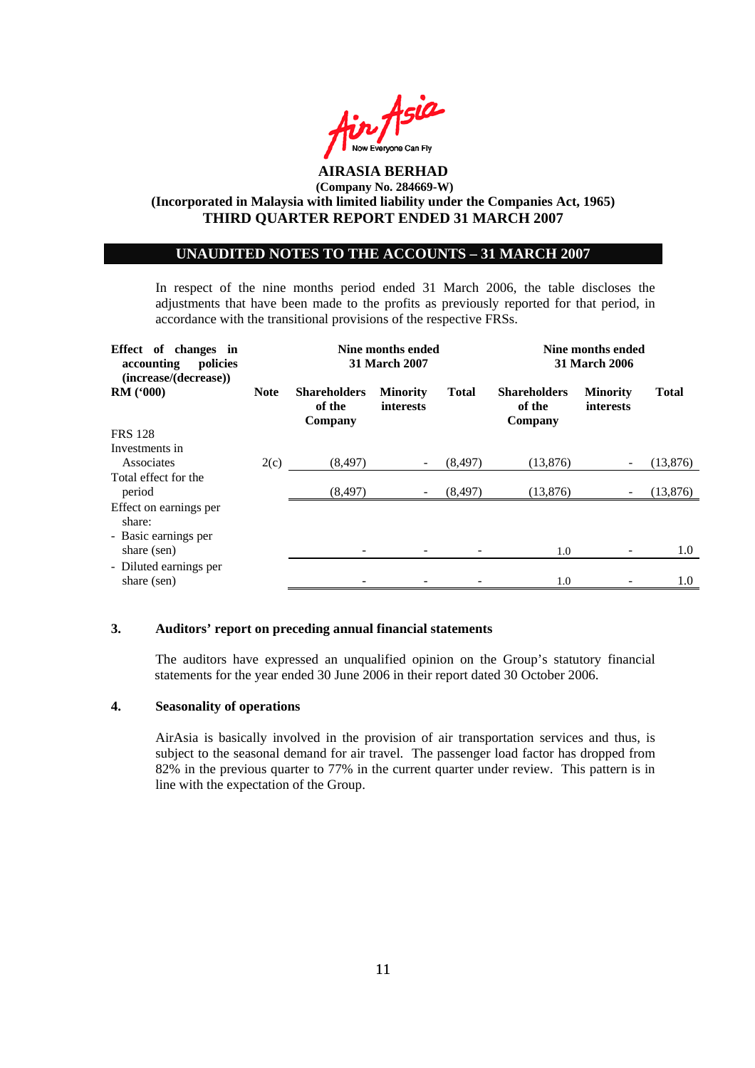

### **UNAUDITED NOTES TO THE ACCOUNTS – 31 MARCH 2007**

In respect of the nine months period ended 31 March 2006, the table discloses the adjustments that have been made to the profits as previously reported for that period, in accordance with the transitional provisions of the respective FRSs.

| Effect of changes in<br>policies<br>accounting<br>(increase/(decrease)) |             | Nine months ended<br>31 March 2007       | Nine months ended<br><b>31 March 2006</b> |              |                                          |                              |              |
|-------------------------------------------------------------------------|-------------|------------------------------------------|-------------------------------------------|--------------|------------------------------------------|------------------------------|--------------|
| <b>RM</b> ('000)                                                        | <b>Note</b> | <b>Shareholders</b><br>of the<br>Company | <b>Minority</b><br>interests              | <b>Total</b> | <b>Shareholders</b><br>of the<br>Company | <b>Minority</b><br>interests | <b>Total</b> |
| <b>FRS 128</b>                                                          |             |                                          |                                           |              |                                          |                              |              |
| Investments in<br>Associates                                            | 2(c)        | (8, 497)                                 |                                           | (8, 497)     | (13, 876)                                |                              | (13, 876)    |
| Total effect for the<br>period                                          |             | (8, 497)                                 |                                           | (8, 497)     | (13, 876)                                | $\overline{\phantom{a}}$     | (13,876)     |
| Effect on earnings per<br>share:                                        |             |                                          |                                           |              |                                          |                              |              |
| - Basic earnings per<br>share (sen)                                     |             |                                          |                                           |              | 1.0                                      |                              | 1.0          |
| - Diluted earnings per<br>share (sen)                                   |             |                                          |                                           |              | 1.0                                      |                              | $1.0\,$      |

#### **3. Auditors' report on preceding annual financial statements**

The auditors have expressed an unqualified opinion on the Group's statutory financial statements for the year ended 30 June 2006 in their report dated 30 October 2006.

#### **4. Seasonality of operations**

AirAsia is basically involved in the provision of air transportation services and thus, is subject to the seasonal demand for air travel. The passenger load factor has dropped from 82% in the previous quarter to 77% in the current quarter under review. This pattern is in line with the expectation of the Group.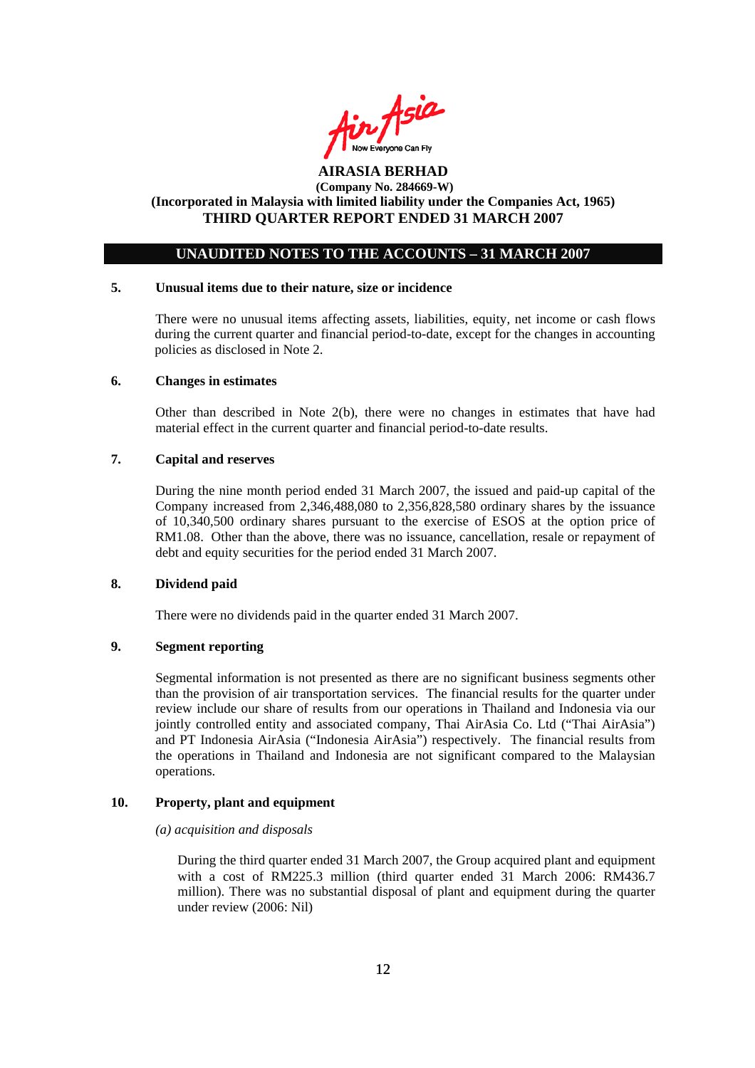

## **UNAUDITED NOTES TO THE ACCOUNTS – 31 MARCH 2007**

#### **5. Unusual items due to their nature, size or incidence**

 There were no unusual items affecting assets, liabilities, equity, net income or cash flows during the current quarter and financial period-to-date, except for the changes in accounting policies as disclosed in Note 2.

#### **6. Changes in estimates**

Other than described in Note 2(b), there were no changes in estimates that have had material effect in the current quarter and financial period-to-date results.

#### **7. Capital and reserves**

During the nine month period ended 31 March 2007, the issued and paid-up capital of the Company increased from 2,346,488,080 to 2,356,828,580 ordinary shares by the issuance of 10,340,500 ordinary shares pursuant to the exercise of ESOS at the option price of RM1.08. Other than the above, there was no issuance, cancellation, resale or repayment of debt and equity securities for the period ended 31 March 2007.

#### **8. Dividend paid**

There were no dividends paid in the quarter ended 31 March 2007.

## **9. Segment reporting**

Segmental information is not presented as there are no significant business segments other than the provision of air transportation services. The financial results for the quarter under review include our share of results from our operations in Thailand and Indonesia via our jointly controlled entity and associated company, Thai AirAsia Co. Ltd ("Thai AirAsia") and PT Indonesia AirAsia ("Indonesia AirAsia") respectively. The financial results from the operations in Thailand and Indonesia are not significant compared to the Malaysian operations.

#### **10. Property, plant and equipment**

 *(a) acquisition and disposals* 

During the third quarter ended 31 March 2007, the Group acquired plant and equipment with a cost of RM225.3 million (third quarter ended 31 March 2006: RM436.7 million). There was no substantial disposal of plant and equipment during the quarter under review (2006: Nil)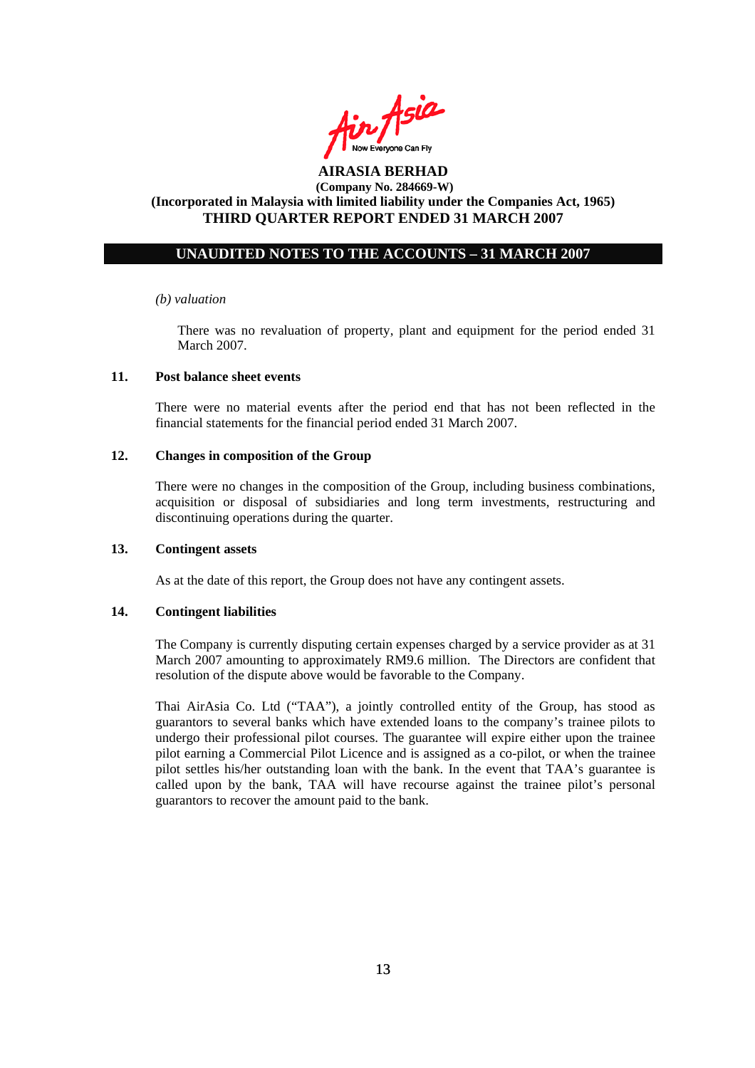

## **UNAUDITED NOTES TO THE ACCOUNTS – 31 MARCH 2007**

#### *(b) valuation*

 There was no revaluation of property, plant and equipment for the period ended 31 March 2007.

#### **11. Post balance sheet events**

There were no material events after the period end that has not been reflected in the financial statements for the financial period ended 31 March 2007.

#### **12. Changes in composition of the Group**

There were no changes in the composition of the Group, including business combinations, acquisition or disposal of subsidiaries and long term investments, restructuring and discontinuing operations during the quarter.

### **13. Contingent assets**

As at the date of this report, the Group does not have any contingent assets.

#### **14. Contingent liabilities**

The Company is currently disputing certain expenses charged by a service provider as at 31 March 2007 amounting to approximately RM9.6 million. The Directors are confident that resolution of the dispute above would be favorable to the Company.

Thai AirAsia Co. Ltd ("TAA"), a jointly controlled entity of the Group, has stood as guarantors to several banks which have extended loans to the company's trainee pilots to undergo their professional pilot courses. The guarantee will expire either upon the trainee pilot earning a Commercial Pilot Licence and is assigned as a co-pilot, or when the trainee pilot settles his/her outstanding loan with the bank. In the event that TAA's guarantee is called upon by the bank, TAA will have recourse against the trainee pilot's personal guarantors to recover the amount paid to the bank.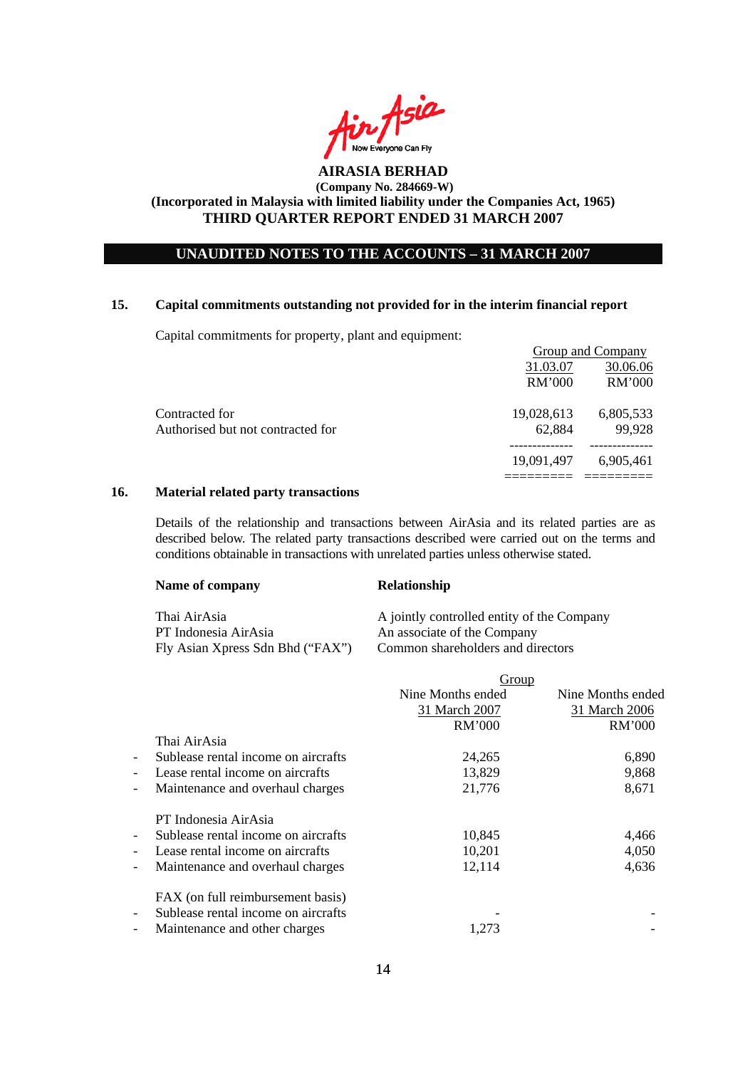

## **UNAUDITED NOTES TO THE ACCOUNTS – 31 MARCH 2007**

#### **15. Capital commitments outstanding not provided for in the interim financial report**

Capital commitments for property, plant and equipment:

|                                   |               | <b>Group and Company</b> |
|-----------------------------------|---------------|--------------------------|
|                                   | 31.03.07      | 30.06.06                 |
|                                   | <b>RM'000</b> | <b>RM'000</b>            |
| Contracted for                    | 19,028,613    | 6,805,533                |
| Authorised but not contracted for | 62,884        | 99,928                   |
|                                   | 19,091,497    | 6.905.461                |
|                                   |               |                          |

#### **16. Material related party transactions**

Details of the relationship and transactions between AirAsia and its related parties are as described below. The related party transactions described were carried out on the terms and conditions obtainable in transactions with unrelated parties unless otherwise stated.

| Name of company                                                          | <b>Relationship</b>                                                                                            |
|--------------------------------------------------------------------------|----------------------------------------------------------------------------------------------------------------|
| Thai AirAsia<br>PT Indonesia AirAsia<br>Fly Asian Xpress Sdn Bhd ("FAX") | A jointly controlled entity of the Company<br>An associate of the Company<br>Common shareholders and directors |

|                          |                                     | Group             |                   |
|--------------------------|-------------------------------------|-------------------|-------------------|
|                          |                                     | Nine Months ended | Nine Months ended |
|                          |                                     | 31 March 2007     | 31 March 2006     |
|                          |                                     | <b>RM'000</b>     | RM'000            |
|                          | Thai AirAsia                        |                   |                   |
| $\overline{\phantom{a}}$ | Sublease rental income on aircrafts | 24,265            | 6,890             |
| $\overline{\phantom{a}}$ | Lease rental income on aircrafts    | 13,829            | 9,868             |
| $\overline{\phantom{a}}$ | Maintenance and overhaul charges    | 21,776            | 8,671             |
|                          | PT Indonesia AirAsia                |                   |                   |
| $\overline{\phantom{a}}$ | Sublease rental income on aircrafts | 10,845            | 4,466             |
| $\overline{\phantom{a}}$ | Lease rental income on aircrafts    | 10,201            | 4,050             |
| $\overline{\phantom{a}}$ | Maintenance and overhaul charges    | 12,114            | 4,636             |
|                          | FAX (on full reimbursement basis)   |                   |                   |
| $\overline{\phantom{a}}$ | Sublease rental income on aircrafts |                   |                   |
| $\overline{\phantom{a}}$ | Maintenance and other charges       | 1,273             |                   |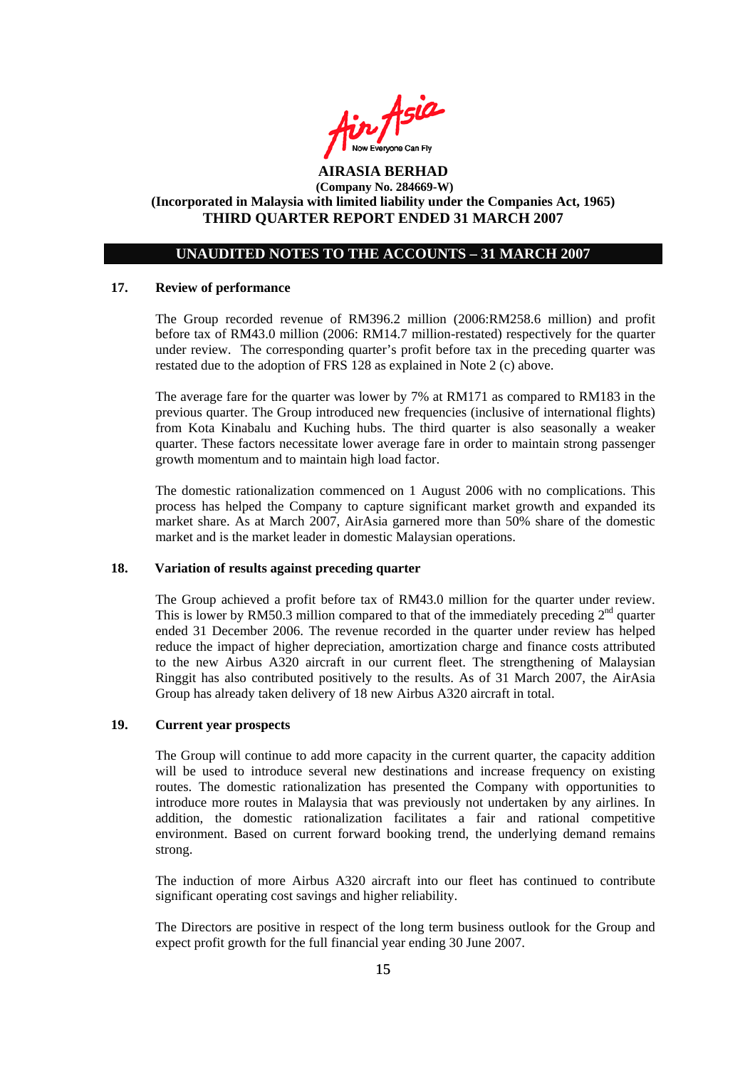

## **UNAUDITED NOTES TO THE ACCOUNTS – 31 MARCH 2007**

#### **17. Review of performance**

The Group recorded revenue of RM396.2 million (2006:RM258.6 million) and profit before tax of RM43.0 million (2006: RM14.7 million-restated) respectively for the quarter under review. The corresponding quarter's profit before tax in the preceding quarter was restated due to the adoption of FRS 128 as explained in Note 2 (c) above.

The average fare for the quarter was lower by 7% at RM171 as compared to RM183 in the previous quarter. The Group introduced new frequencies (inclusive of international flights) from Kota Kinabalu and Kuching hubs. The third quarter is also seasonally a weaker quarter. These factors necessitate lower average fare in order to maintain strong passenger growth momentum and to maintain high load factor.

The domestic rationalization commenced on 1 August 2006 with no complications. This process has helped the Company to capture significant market growth and expanded its market share. As at March 2007, AirAsia garnered more than 50% share of the domestic market and is the market leader in domestic Malaysian operations.

#### **18. Variation of results against preceding quarter**

The Group achieved a profit before tax of RM43.0 million for the quarter under review. This is lower by RM50.3 million compared to that of the immediately preceding  $2^{nd}$  quarter ended 31 December 2006. The revenue recorded in the quarter under review has helped reduce the impact of higher depreciation, amortization charge and finance costs attributed to the new Airbus A320 aircraft in our current fleet. The strengthening of Malaysian Ringgit has also contributed positively to the results. As of 31 March 2007, the AirAsia Group has already taken delivery of 18 new Airbus A320 aircraft in total.

#### **19. Current year prospects**

The Group will continue to add more capacity in the current quarter, the capacity addition will be used to introduce several new destinations and increase frequency on existing routes. The domestic rationalization has presented the Company with opportunities to introduce more routes in Malaysia that was previously not undertaken by any airlines. In addition, the domestic rationalization facilitates a fair and rational competitive environment. Based on current forward booking trend, the underlying demand remains strong.

The induction of more Airbus A320 aircraft into our fleet has continued to contribute significant operating cost savings and higher reliability.

The Directors are positive in respect of the long term business outlook for the Group and expect profit growth for the full financial year ending 30 June 2007.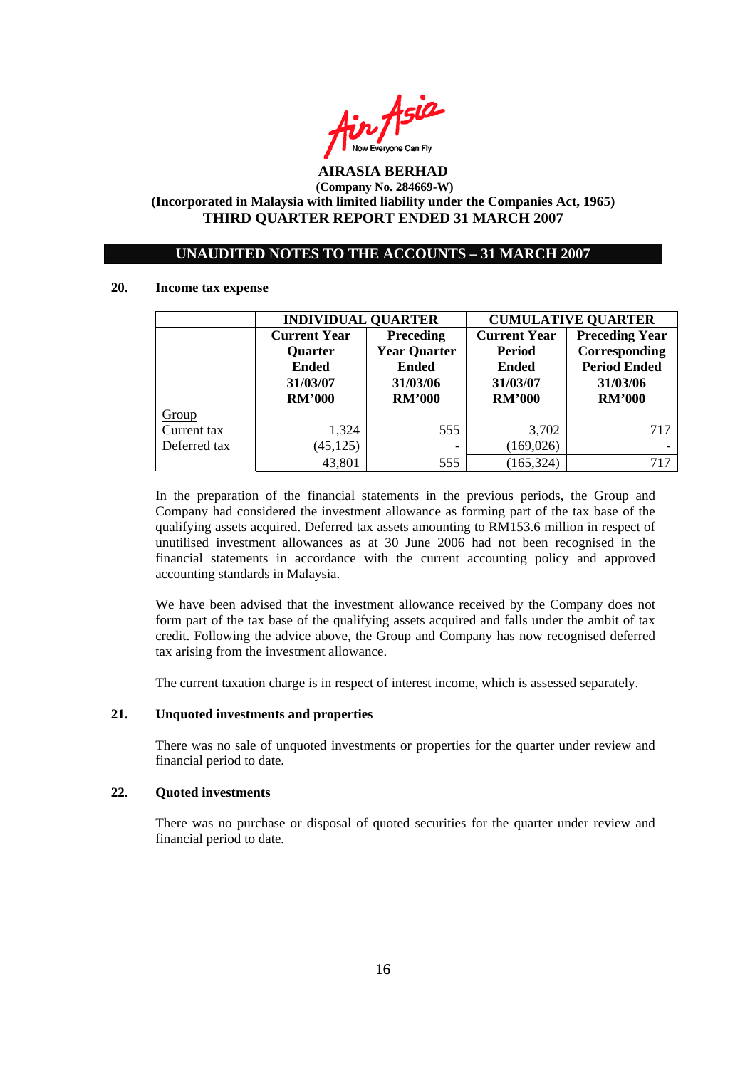

### **UNAUDITED NOTES TO THE ACCOUNTS – 31 MARCH 2007**

#### **20. Income tax expense**

|              | <b>INDIVIDUAL QUARTER</b> |                     | <b>CUMULATIVE QUARTER</b> |                       |  |
|--------------|---------------------------|---------------------|---------------------------|-----------------------|--|
|              | <b>Current Year</b>       | <b>Preceding</b>    | <b>Current Year</b>       | <b>Preceding Year</b> |  |
|              | <b>Quarter</b>            | <b>Year Quarter</b> | <b>Period</b>             | Corresponding         |  |
|              | <b>Ended</b>              | <b>Ended</b>        | <b>Ended</b>              | <b>Period Ended</b>   |  |
|              | 31/03/07                  | 31/03/06            | 31/03/07                  | 31/03/06              |  |
|              | <b>RM'000</b>             | <b>RM'000</b>       | <b>RM'000</b>             | <b>RM'000</b>         |  |
| Group        |                           |                     |                           |                       |  |
| Current tax  | 1,324                     | 555                 | 3,702                     | 717                   |  |
| Deferred tax | (45, 125)                 |                     | (169, 026)                |                       |  |
|              | 43,801                    | 555                 | (165, 324)                | 717                   |  |

In the preparation of the financial statements in the previous periods, the Group and Company had considered the investment allowance as forming part of the tax base of the qualifying assets acquired. Deferred tax assets amounting to RM153.6 million in respect of unutilised investment allowances as at 30 June 2006 had not been recognised in the financial statements in accordance with the current accounting policy and approved accounting standards in Malaysia.

We have been advised that the investment allowance received by the Company does not form part of the tax base of the qualifying assets acquired and falls under the ambit of tax credit. Following the advice above, the Group and Company has now recognised deferred tax arising from the investment allowance.

The current taxation charge is in respect of interest income, which is assessed separately.

#### **21. Unquoted investments and properties**

There was no sale of unquoted investments or properties for the quarter under review and financial period to date.

#### **22. Quoted investments**

There was no purchase or disposal of quoted securities for the quarter under review and financial period to date.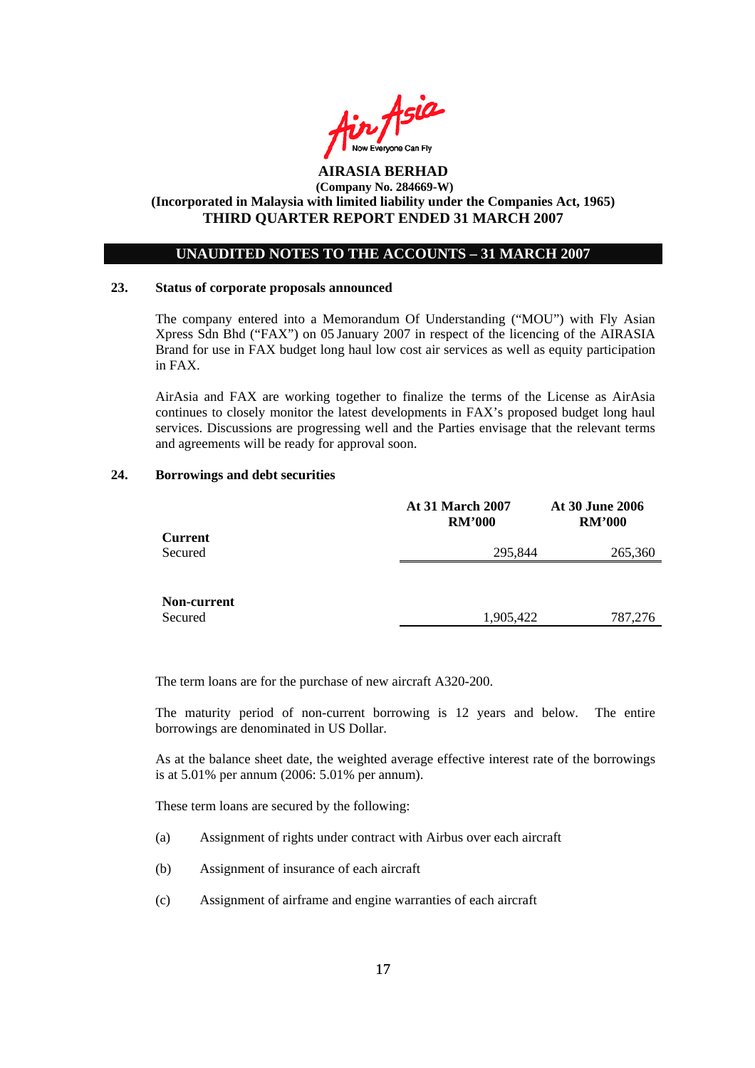

### **UNAUDITED NOTES TO THE ACCOUNTS – 31 MARCH 2007**

#### **23. Status of corporate proposals announced**

The company entered into a Memorandum Of Understanding ("MOU") with Fly Asian Xpress Sdn Bhd ("FAX") on 05 January 2007 in respect of the licencing of the AIRASIA Brand for use in FAX budget long haul low cost air services as well as equity participation in FAX.

AirAsia and FAX are working together to finalize the terms of the License as AirAsia continues to closely monitor the latest developments in FAX's proposed budget long haul services. Discussions are progressing well and the Parties envisage that the relevant terms and agreements will be ready for approval soon.

#### **24. Borrowings and debt securities**

|                           | <b>At 31 March 2007</b><br><b>RM'000</b> | <b>At 30 June 2006</b><br><b>RM'000</b> |  |
|---------------------------|------------------------------------------|-----------------------------------------|--|
| <b>Current</b><br>Secured | 295,844                                  | 265,360                                 |  |
|                           |                                          |                                         |  |
|                           |                                          |                                         |  |
| Non-current<br>Secured    | 1,905,422                                | 787,276                                 |  |

The term loans are for the purchase of new aircraft A320-200.

The maturity period of non-current borrowing is 12 years and below. The entire borrowings are denominated in US Dollar.

As at the balance sheet date, the weighted average effective interest rate of the borrowings is at 5.01% per annum (2006: 5.01% per annum).

These term loans are secured by the following:

- (a) Assignment of rights under contract with Airbus over each aircraft
- (b) Assignment of insurance of each aircraft
- (c) Assignment of airframe and engine warranties of each aircraft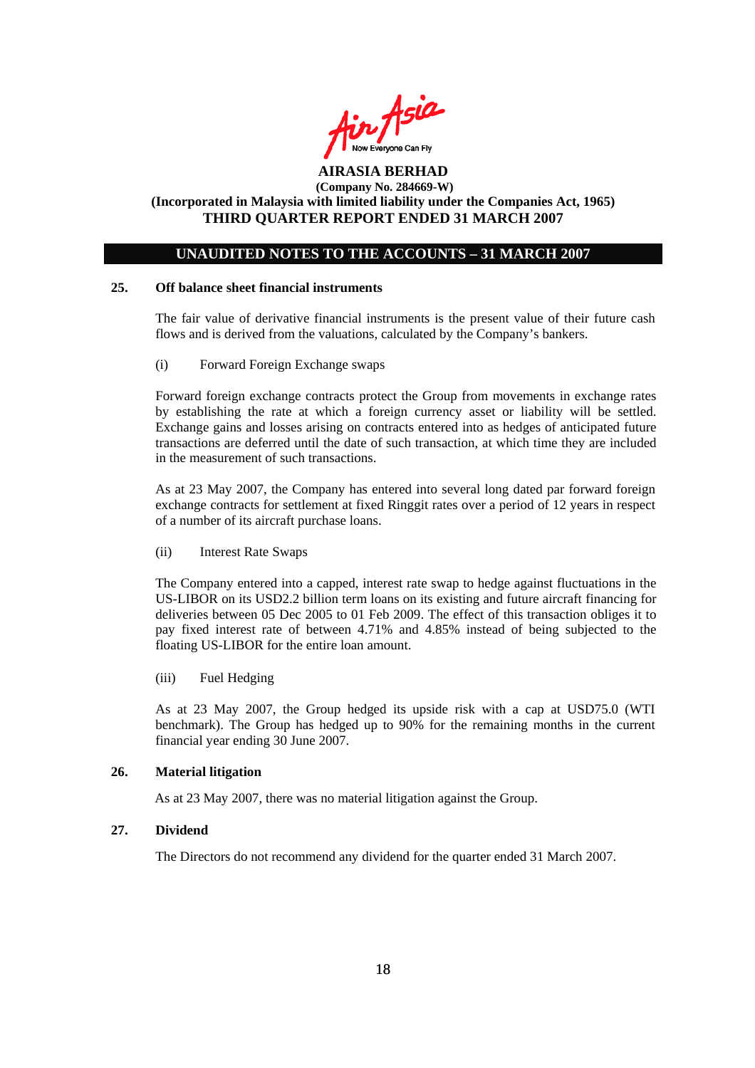

## **UNAUDITED NOTES TO THE ACCOUNTS – 31 MARCH 2007**

### **25. Off balance sheet financial instruments**

The fair value of derivative financial instruments is the present value of their future cash flows and is derived from the valuations, calculated by the Company's bankers.

(i) Forward Foreign Exchange swaps

Forward foreign exchange contracts protect the Group from movements in exchange rates by establishing the rate at which a foreign currency asset or liability will be settled. Exchange gains and losses arising on contracts entered into as hedges of anticipated future transactions are deferred until the date of such transaction, at which time they are included in the measurement of such transactions.

As at 23 May 2007, the Company has entered into several long dated par forward foreign exchange contracts for settlement at fixed Ringgit rates over a period of 12 years in respect of a number of its aircraft purchase loans.

(ii) Interest Rate Swaps

The Company entered into a capped, interest rate swap to hedge against fluctuations in the US-LIBOR on its USD2.2 billion term loans on its existing and future aircraft financing for deliveries between 05 Dec 2005 to 01 Feb 2009. The effect of this transaction obliges it to pay fixed interest rate of between 4.71% and 4.85% instead of being subjected to the floating US-LIBOR for the entire loan amount.

(iii) Fuel Hedging

As at 23 May 2007, the Group hedged its upside risk with a cap at USD75.0 (WTI benchmark). The Group has hedged up to 90% for the remaining months in the current financial year ending 30 June 2007.

#### **26. Material litigation**

As at 23 May 2007, there was no material litigation against the Group.

### **27. Dividend**

The Directors do not recommend any dividend for the quarter ended 31 March 2007.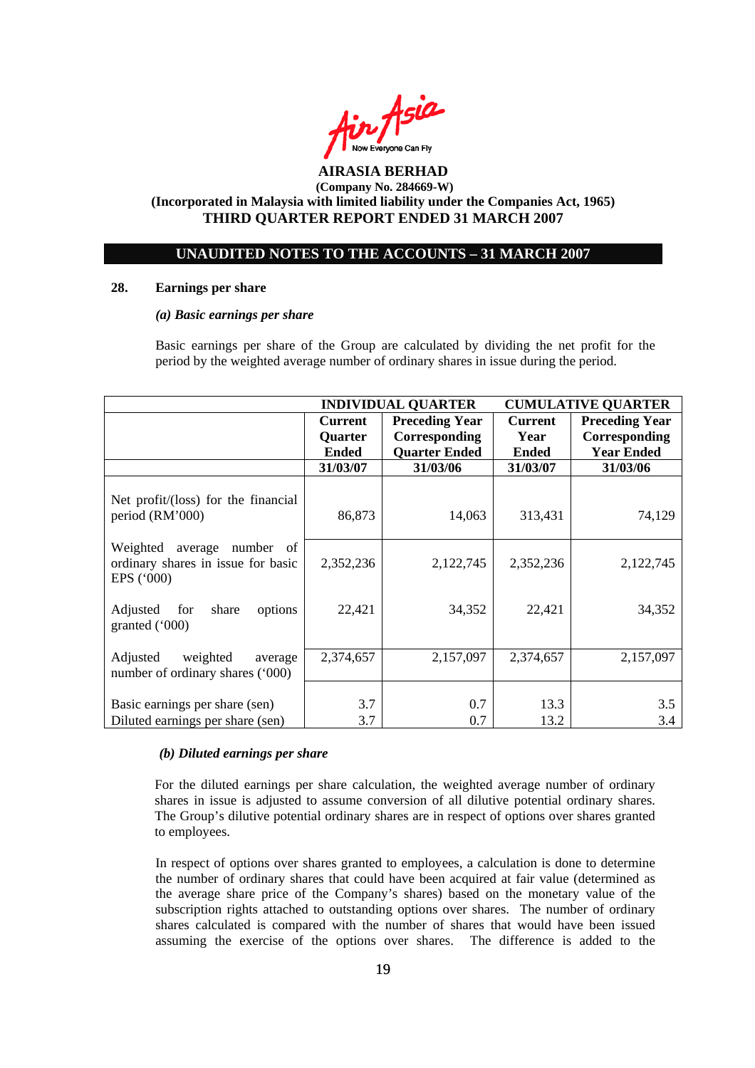

## **UNAUDITED NOTES TO THE ACCOUNTS – 31 MARCH 2007**

#### **28. Earnings per share**

#### *(a) Basic earnings per share*

 Basic earnings per share of the Group are calculated by dividing the net profit for the period by the weighted average number of ordinary shares in issue during the period.

|                                                                                        | <b>INDIVIDUAL QUARTER</b>                        |                                                                | <b>CUMULATIVE QUARTER</b>              |                                                             |
|----------------------------------------------------------------------------------------|--------------------------------------------------|----------------------------------------------------------------|----------------------------------------|-------------------------------------------------------------|
|                                                                                        | <b>Current</b><br><b>Quarter</b><br><b>Ended</b> | <b>Preceding Year</b><br>Corresponding<br><b>Quarter Ended</b> | <b>Current</b><br>Year<br><b>Ended</b> | <b>Preceding Year</b><br>Corresponding<br><b>Year Ended</b> |
|                                                                                        | 31/03/07                                         | 31/03/06                                                       | 31/03/07                               | 31/03/06                                                    |
| Net profit/(loss) for the financial<br>period (RM'000)                                 | 86,873                                           | 14,063                                                         | 313,431                                | 74,129                                                      |
| Weighted<br>average number<br>- of<br>ordinary shares in issue for basic<br>EPS ('000) | 2,352,236                                        | 2,122,745                                                      | 2,352,236                              | 2,122,745                                                   |
| Adjusted<br>for<br>share<br>options<br>granted $(000)$                                 | 22,421                                           | 34,352                                                         | 22,421                                 | 34,352                                                      |
| Adjusted<br>weighted<br>average<br>number of ordinary shares ('000)                    | 2,374,657                                        | 2,157,097                                                      | 2,374,657                              | 2,157,097                                                   |
| Basic earnings per share (sen)<br>Diluted earnings per share (sen)                     | 3.7<br>3.7                                       | 0.7<br>0.7                                                     | 13.3<br>13.2                           | 3.5<br>3.4                                                  |

#### *(b) Diluted earnings per share*

For the diluted earnings per share calculation, the weighted average number of ordinary shares in issue is adjusted to assume conversion of all dilutive potential ordinary shares. The Group's dilutive potential ordinary shares are in respect of options over shares granted to employees.

 In respect of options over shares granted to employees, a calculation is done to determine the number of ordinary shares that could have been acquired at fair value (determined as the average share price of the Company's shares) based on the monetary value of the subscription rights attached to outstanding options over shares. The number of ordinary shares calculated is compared with the number of shares that would have been issued assuming the exercise of the options over shares. The difference is added to the